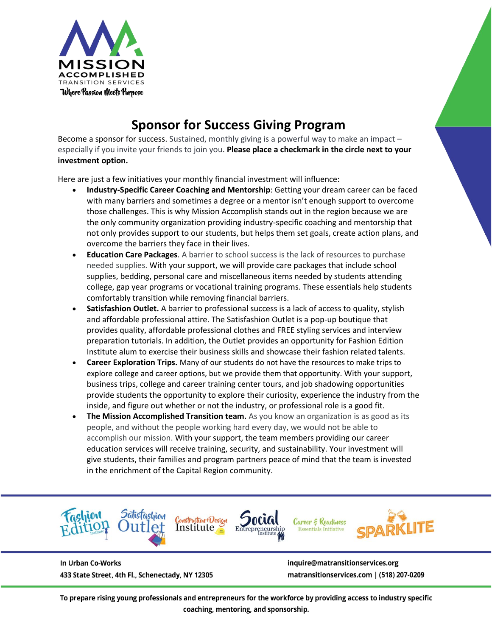

# **Sponsor for Success Giving Program**

Become a sponsor for success. Sustained, monthly giving is a powerful way to make an impact – especially if you invite your friends to join you. **Please place a checkmark in the circle next to your investment option.**

Here are just a few initiatives your monthly financial investment will influence:

- **Industry-Specific Career Coaching and Mentorship**: Getting your dream career can be faced with many barriers and sometimes a degree or a mentor isn't enough support to overcome those challenges. This is why Mission Accomplish stands out in the region because we are the only community organization providing industry-specific coaching and mentorship that not only provides support to our students, but helps them set goals, create action plans, and overcome the barriers they face in their lives.
- **Education Care Packages.** A barrier to school success is the lack of resources to purchase needed supplies. With your support, we will provide care packages that include school supplies, bedding, personal care and miscellaneous items needed by students attending college, gap year programs or vocational training programs. These essentials help students comfortably transition while removing financial barriers.
- **Satisfashion Outlet.** A barrier to professional success is a lack of access to quality, stylish and affordable professional attire. The Satisfashion Outlet is a pop-up boutique that provides quality, affordable professional clothes and FREE styling services and interview preparation tutorials. In addition, the Outlet provides an opportunity for Fashion Edition Institute alum to exercise their business skills and showcase their fashion related talents.
- **Career Exploration Trips.** Many of our students do not have the resources to make trips to explore college and career options, but we provide them that opportunity. With your support, business trips, college and career training center tours, and job shadowing opportunities provide students the opportunity to explore their curiosity, experience the industry from the inside, and figure out whether or not the industry, or professional role is a good fit.
- **The Mission Accomplished Transition team.** As you know an organization is as good as its people, and without the people working hard every day, we would not be able to accomplish our mission. With your support, the team members providing our career education services will receive training, security, and sustainability. Your investment will give students, their families and program partners peace of mind that the team is invested in the enrichment of the Capital Region community.



In Urban Co-Works 433 State Street, 4th Fl., Schenectady, NY 12305 inquire@matransitionservices.org matransitionservices.com | (518) 207-0209

To prepare rising young professionals and entrepreneurs for the workforce by providing access to industry specific coaching, mentoring, and sponsorship.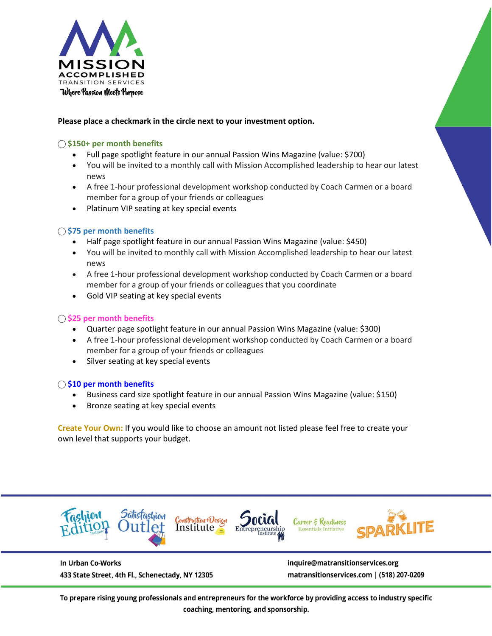

## **Please place a checkmark in the circle next to your investment option.**

## ⃝ **\$150+ per month benefits**

- Full page spotlight feature in our annual Passion Wins Magazine (value: \$700)
- You will be invited to a monthly call with Mission Accomplished leadership to hear our latest news
- A free 1-hour professional development workshop conducted by Coach Carmen or a board member for a group of your friends or colleagues
- Platinum VIP seating at key special events

## ⃝ **\$75 per month benefits**

- Half page spotlight feature in our annual Passion Wins Magazine (value: \$450)
- You will be invited to monthly call with Mission Accomplished leadership to hear our latest news
- A free 1-hour professional development workshop conducted by Coach Carmen or a board member for a group of your friends or colleagues that you coordinate
- Gold VIP seating at key special events

## ⃝ **\$25 per month benefits**

- Quarter page spotlight feature in our annual Passion Wins Magazine (value: \$300)
- A free 1-hour professional development workshop conducted by Coach Carmen or a board member for a group of your friends or colleagues
- Silver seating at key special events

#### ⃝ **\$10 per month benefits**

- Business card size spotlight feature in our annual Passion Wins Magazine (value: \$150)
- Bronze seating at key special events

**Create Your Own:** If you would like to choose an amount not listed please feel free to create your own level that supports your budget.



In Urban Co-Works 433 State Street, 4th Fl., Schenectady, NY 12305 inquire@matransitionservices.org matransitionservices.com | (518) 207-0209

To prepare rising young professionals and entrepreneurs for the workforce by providing access to industry specific coaching, mentoring, and sponsorship.